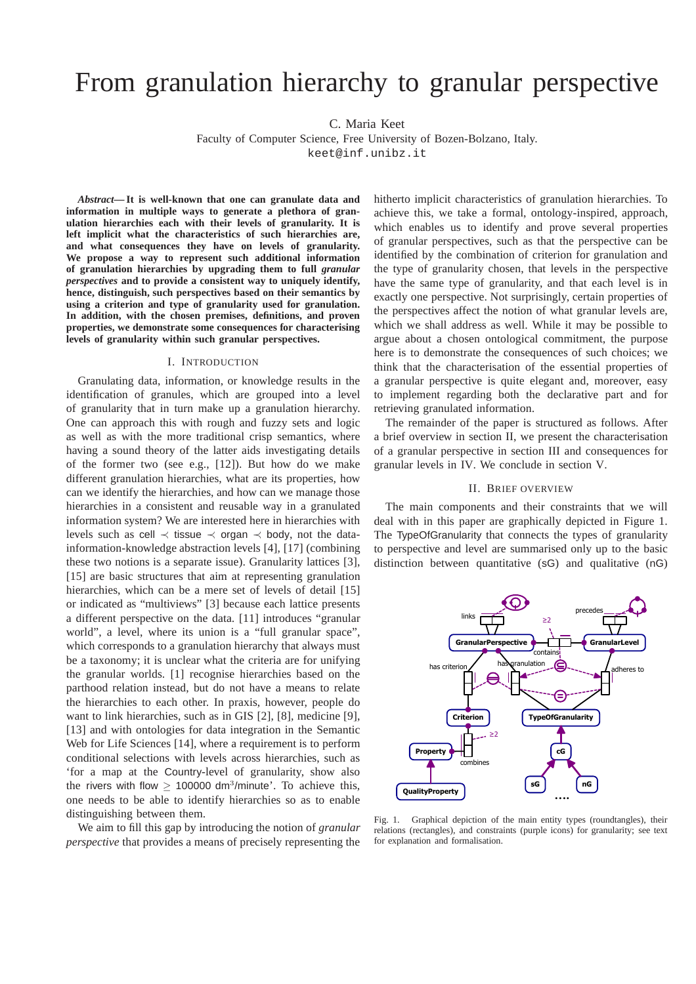# From granulation hierarchy to granular perspective

C. Maria Keet

Faculty of Computer Science, Free University of Bozen-Bolzano, Italy. keet@inf.unibz.it

*Abstract***— It is well-known that one can granulate data and information in multiple ways to generate a plethora of granulation hierarchies each with their levels of granularity. It is left implicit what the characteristics of such hierarchies are, and what consequences they have on levels of granularity. We propose a way to represent such additional information of granulation hierarchies by upgrading them to full** *granular perspectives* **and to provide a consistent way to uniquely identify, hence, distinguish, such perspectives based on their semantics by using a criterion and type of granularity used for granulation. In addition, with the chosen premises, definitions, and proven properties, we demonstrate some consequences for characterising levels of granularity within such granular perspectives.**

## I. INTRODUCTION

Granulating data, information, or knowledge results in the identification of granules, which are grouped into a level of granularity that in turn make up a granulation hierarchy. One can approach this with rough and fuzzy sets and logic as well as with the more traditional crisp semantics, where having a sound theory of the latter aids investigating details of the former two (see e.g., [12]). But how do we make different granulation hierarchies, what are its properties, how can we identify the hierarchies, and how can we manage those hierarchies in a consistent and reusable way in a granulated information system? We are interested here in hierarchies with levels such as cell  $\prec$  tissue  $\prec$  organ  $\prec$  body, not the datainformation-knowledge abstraction levels [4], [17] (combining these two notions is a separate issue). Granularity lattices [3], [15] are basic structures that aim at representing granulation hierarchies, which can be a mere set of levels of detail [15] or indicated as "multiviews" [3] because each lattice presents a different perspective on the data. [11] introduces "granular world", a level, where its union is a "full granular space", which corresponds to a granulation hierarchy that always must be a taxonomy; it is unclear what the criteria are for unifying the granular worlds. [1] recognise hierarchies based on the parthood relation instead, but do not have a means to relate the hierarchies to each other. In praxis, however, people do want to link hierarchies, such as in GIS [2], [8], medicine [9], [13] and with ontologies for data integration in the Semantic Web for Life Sciences [14], where a requirement is to perform conditional selections with levels across hierarchies, such as 'for a map at the Country-level of granularity, show also the rivers with flow  $\geq 100000$  dm<sup>3</sup>/minute'. To achieve this, one needs to be able to identify hierarchies so as to enable distinguishing between them.

We aim to fill this gap by introducing the notion of *granular perspective* that provides a means of precisely representing the hitherto implicit characteristics of granulation hierarchies. To achieve this, we take a formal, ontology-inspired, approach, which enables us to identify and prove several properties of granular perspectives, such as that the perspective can be identified by the combination of criterion for granulation and the type of granularity chosen, that levels in the perspective have the same type of granularity, and that each level is in exactly one perspective. Not surprisingly, certain properties of the perspectives affect the notion of what granular levels are, which we shall address as well. While it may be possible to argue about a chosen ontological commitment, the purpose here is to demonstrate the consequences of such choices; we think that the characterisation of the essential properties of a granular perspective is quite elegant and, moreover, easy to implement regarding both the declarative part and for retrieving granulated information.

The remainder of the paper is structured as follows. After a brief overview in section II, we present the characterisation of a granular perspective in section III and consequences for granular levels in IV. We conclude in section V.

### II. BRIEF OVERVIEW

The main components and their constraints that we will deal with in this paper are graphically depicted in Figure 1. The TypeOfGranularity that connects the types of granularity to perspective and level are summarised only up to the basic distinction between quantitative (sG) and qualitative (nG)



Fig. 1. Graphical depiction of the main entity types (roundtangles), their relations (rectangles), and constraints (purple icons) for granularity; see text for explanation and formalisation.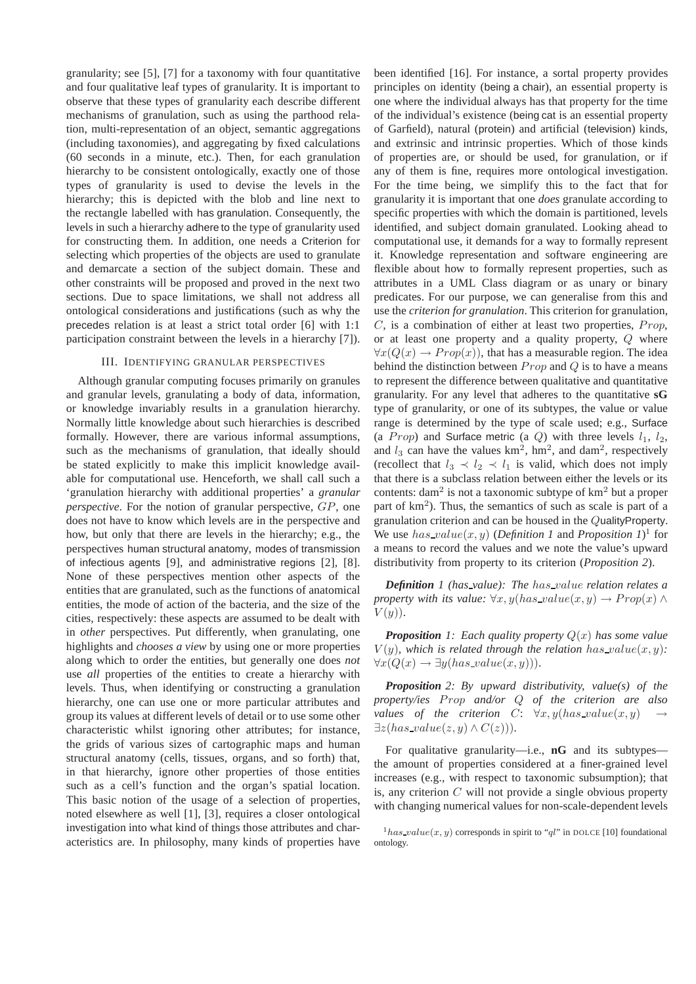granularity; see [5], [7] for a taxonomy with four quantitative and four qualitative leaf types of granularity. It is important to observe that these types of granularity each describe different mechanisms of granulation, such as using the parthood relation, multi-representation of an object, semantic aggregations (including taxonomies), and aggregating by fixed calculations (60 seconds in a minute, etc.). Then, for each granulation hierarchy to be consistent ontologically, exactly one of those types of granularity is used to devise the levels in the hierarchy; this is depicted with the blob and line next to the rectangle labelled with has granulation. Consequently, the levels in such a hierarchy adhere to the type of granularity used for constructing them. In addition, one needs a Criterion for selecting which properties of the objects are used to granulate and demarcate a section of the subject domain. These and other constraints will be proposed and proved in the next two sections. Due to space limitations, we shall not address all ontological considerations and justifications (such as why the precedes relation is at least a strict total order [6] with 1:1 participation constraint between the levels in a hierarchy [7]).

# III. IDENTIFYING GRANULAR PERSPECTIVES

Although granular computing focuses primarily on granules and granular levels, granulating a body of data, information, or knowledge invariably results in a granulation hierarchy. Normally little knowledge about such hierarchies is described formally. However, there are various informal assumptions, such as the mechanisms of granulation, that ideally should be stated explicitly to make this implicit knowledge available for computational use. Henceforth, we shall call such a 'granulation hierarchy with additional properties' a *granular perspective*. For the notion of granular perspective, GP, one does not have to know which levels are in the perspective and how, but only that there are levels in the hierarchy; e.g., the perspectives human structural anatomy, modes of transmission of infectious agents [9], and administrative regions [2], [8]. None of these perspectives mention other aspects of the entities that are granulated, such as the functions of anatomical entities, the mode of action of the bacteria, and the size of the cities, respectively: these aspects are assumed to be dealt with in *other* perspectives. Put differently, when granulating, one highlights and *chooses a view* by using one or more properties along which to order the entities, but generally one does *not* use *all* properties of the entities to create a hierarchy with levels. Thus, when identifying or constructing a granulation hierarchy, one can use one or more particular attributes and group its values at different levels of detail or to use some other characteristic whilst ignoring other attributes; for instance, the grids of various sizes of cartographic maps and human structural anatomy (cells, tissues, organs, and so forth) that, in that hierarchy, ignore other properties of those entities such as a cell's function and the organ's spatial location. This basic notion of the usage of a selection of properties, noted elsewhere as well [1], [3], requires a closer ontological investigation into what kind of things those attributes and characteristics are. In philosophy, many kinds of properties have been identified [16]. For instance, a sortal property provides principles on identity (being a chair), an essential property is one where the individual always has that property for the time of the individual's existence (being cat is an essential property of Garfield), natural (protein) and artificial (television) kinds, and extrinsic and intrinsic properties. Which of those kinds of properties are, or should be used, for granulation, or if any of them is fine, requires more ontological investigation. For the time being, we simplify this to the fact that for granularity it is important that one *does* granulate according to specific properties with which the domain is partitioned, levels identified, and subject domain granulated. Looking ahead to computational use, it demands for a way to formally represent it. Knowledge representation and software engineering are flexible about how to formally represent properties, such as attributes in a UML Class diagram or as unary or binary predicates. For our purpose, we can generalise from this and use the *criterion for granulation*. This criterion for granulation,  $C$ , is a combination of either at least two properties,  $Prop$ , or at least one property and a quality property, Q where  $\forall x (Q(x) \rightarrow Prop(x))$ , that has a measurable region. The idea behind the distinction between  $Prop$  and  $Q$  is to have a means to represent the difference between qualitative and quantitative granularity. For any level that adheres to the quantitative **sG** type of granularity, or one of its subtypes, the value or value range is determined by the type of scale used; e.g., Surface (a Prop) and Surface metric (a  $Q$ ) with three levels  $l_1$ ,  $l_2$ , and  $l_3$  can have the values  $km^2$ , hm<sup>2</sup>, and dam<sup>2</sup>, respectively (recollect that  $l_3 \prec l_2 \prec l_1$  is valid, which does not imply that there is a subclass relation between either the levels or its contents: dam<sup>2</sup> is not a taxonomic subtype of  $km^2$  but a proper part of km<sup>2</sup>). Thus, the semantics of such as scale is part of a granulation criterion and can be housed in the QualityProperty. We use  $has\_value(x, y)$  (*Definition 1* and *Proposition 1*)<sup>1</sup> for a means to record the values and we note the value's upward distributivity from property to its criterion (*Proposition 2*).

*Definition 1 (has value): The* has value *relation relates a property with its value:*  $\forall x, y (has\_value(x, y) \rightarrow Prop(x) \land$  $V(y)$ ).

*Proposition 1: Each quality property* Q(x) *has some value*  $V(y)$ *, which is related through the relation has value(x, y):*  $\forall x (Q(x) \rightarrow \exists y (has\_value(x, y))).$ 

*Proposition 2: By upward distributivity, value(s) of the property/ies* Prop and/or Q of the criterion are also *values of the criterion*  $C: \forall x, y (has\_value(x, y))$  $\exists z(has\_value(z, y) \wedge C(z))$ .

For qualitative granularity—i.e., **nG** and its subtypes the amount of properties considered at a finer-grained level increases (e.g., with respect to taxonomic subsumption); that is, any criterion  $C$  will not provide a single obvious property with changing numerical values for non-scale-dependent levels

<sup>&</sup>lt;sup>1</sup>has value(x, y) corresponds in spirit to "ql" in DOLCE [10] foundational ontology.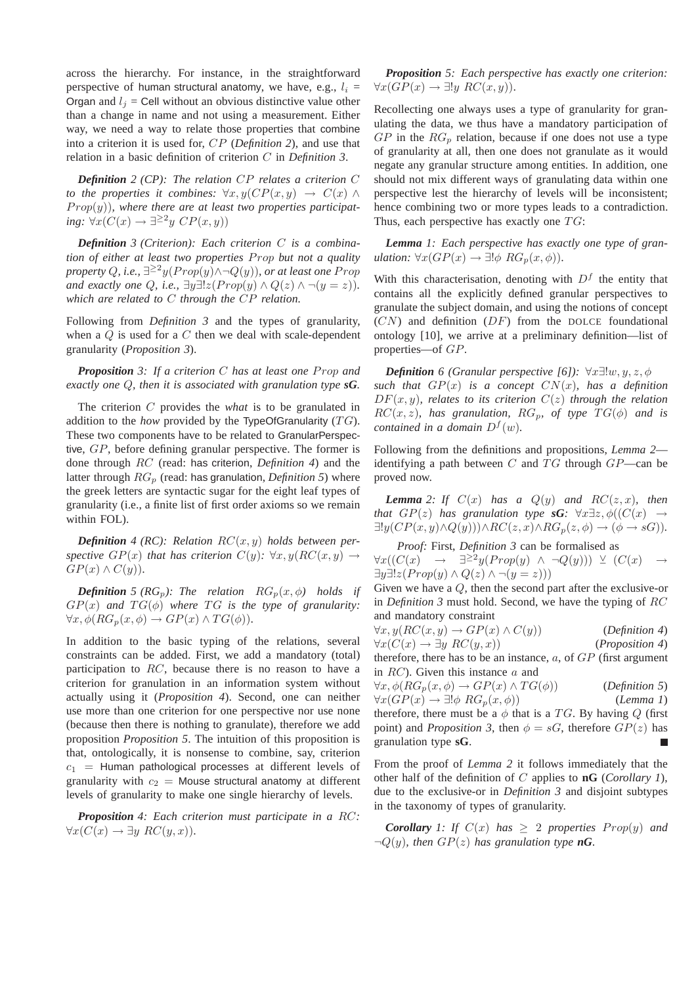across the hierarchy. For instance, in the straightforward perspective of human structural anatomy, we have, e.g.,  $l_i$  = Organ and  $l_i$  = Cell without an obvious distinctive value other than a change in name and not using a measurement. Either way, we need a way to relate those properties that combine into a criterion it is used for, CP (*Definition 2*), and use that relation in a basic definition of criterion C in *Definition 3*.

*Definition 2 (CP): The relation* CP *relates a criterion* C *to the properties it combines:*  $\forall x, y(CP(x, y) \rightarrow C(x) \land y(CP(x, y))$ Prop(y)), where there are at least two properties participat*ing:*  $\forall x (C(x) \rightarrow \exists^{\geq 2} y \; CP(x, y))$ 

*Definition 3 (Criterion): Each criterion* C *is a combination of either at least two properties Prop but not a quality property* Q, i.e.,  $\exists^{\geq 2} y (Prop(y) \land \neg Q(y))$ *, or at least one* Prop *and exactly one Q, i.e.,*  $\exists y \exists ! z (Prop(y) \land Q(z) \land \neg (y = z))$ *. which are related to* C *through the* CP *relation.*

Following from *Definition 3* and the types of granularity, when a  $Q$  is used for a  $C$  then we deal with scale-dependent granularity (*Proposition 3*).

*Proposition* 3: If a criterion C has at least one Prop and *exactly one* Q*, then it is associated with granulation type sG.*

The criterion C provides the *what* is to be granulated in addition to the *how* provided by the TypeOfGranularity  $(TG)$ . These two components have to be related to GranularPerspective, GP, before defining granular perspective. The former is done through RC (read: has criterion, *Definition 4*) and the latter through  $RG_p$  (read: has granulation, *Definition 5*) where the greek letters are syntactic sugar for the eight leaf types of granularity (i.e., a finite list of first order axioms so we remain within FOL).

*Definition* 4 (RC): Relation  $RC(x, y)$  holds between per*spective*  $GP(x)$  *that has criterion*  $C(y)$ *:*  $\forall x, y(RC(x, y) \rightarrow$  $GP(x) \wedge C(y)$ .

*Definition 5* ( $RG_p$ ): The relation  $RG_p(x, \phi)$  holds if  $GP(x)$  *and*  $TG(\phi)$  *where*  $TG$  *is the type of granularity:*  $\forall x, \phi(RG_p(x, \phi) \rightarrow GP(x) \land TG(\phi)).$ 

In addition to the basic typing of the relations, several constraints can be added. First, we add a mandatory (total) participation to RC, because there is no reason to have a criterion for granulation in an information system without actually using it (*Proposition 4*). Second, one can neither use more than one criterion for one perspective nor use none (because then there is nothing to granulate), therefore we add proposition *Proposition 5*. The intuition of this proposition is that, ontologically, it is nonsense to combine, say, criterion  $c_1$  = Human pathological processes at different levels of granularity with  $c_2$  = Mouse structural anatomy at different levels of granularity to make one single hierarchy of levels.

*Proposition 4: Each criterion must participate in a* RC*:*  $\forall x (C(x) \rightarrow \exists y \ RC(y,x)).$ 

*Proposition 5: Each perspective has exactly one criterion:*  $\forall x (GP(x) \rightarrow \exists! y \ RC(x,y)).$ 

Recollecting one always uses a type of granularity for granulating the data, we thus have a mandatory participation of  $GP$  in the  $RG_p$  relation, because if one does not use a type of granularity at all, then one does not granulate as it would negate any granular structure among entities. In addition, one should not mix different ways of granulating data within one perspective lest the hierarchy of levels will be inconsistent; hence combining two or more types leads to a contradiction. Thus, each perspective has exactly one  $TG$ :

*Lemma 1: Each perspective has exactly one type of granulation:*  $\forall x (GP(x) \rightarrow \exists ! \phi \ RG_n(x, \phi)).$ 

With this characterisation, denoting with  $D<sup>f</sup>$  the entity that contains all the explicitly defined granular perspectives to granulate the subject domain, and using the notions of concept  $(CN)$  and definition  $(DF)$  from the DOLCE foundational ontology [10], we arrive at a preliminary definition—list of properties—of GP.

*Definition 6 (Granular perspective [6]):*  $\forall x \exists ! w, y, z, \phi$ *such that*  $GP(x)$  *is a concept*  $CN(x)$ *, has a definition*  $DF(x, y)$ *, relates to its criterion*  $C(z)$  *through the relation*  $RC(x, z)$ *, has granulation,*  $RG_p$ *, of type*  $TG(\phi)$  *and is contained in a domain*  $D^f(w)$ *.* 

Following from the definitions and propositions, *Lemma 2* identifying a path between  $C$  and  $TG$  through  $GP$ —can be proved now.

*Lemma* 2: If  $C(x)$  has a  $Q(y)$  and  $RC(z, x)$ , then *that*  $GP(z)$  *has granulation type sG:*  $\forall x \exists z, \phi((C(x) \rightarrow$  $\exists! y (CP(x, y) \land Q(y))) \land RC(z, x) \land RG_p(z, \phi) \rightarrow (\phi \rightarrow sG)).$ 

*Proof:* First, *Definition 3* can be formalised as  $\forall x((C(x) \rightarrow \exists^{\geq 2} y (Prop(y) \land \neg Q(y))) \vee (C(x) \rightarrow$  $\exists y \exists ! z (Prop(y) \land Q(z) \land \neg (y = z)))$ 

Given we have a Q, then the second part after the exclusive-or in *Definition 3* must hold. Second, we have the typing of RC and mandatory constraint

 $\forall x, y(RC(x, y) \rightarrow GP(x) \land C(y))$  (*Definition 4*)  $∀x(C(x) → ∃y RC(y, x))$  (*Proposition 4*)

therefore, there has to be an instance,  $a$ , of  $GP$  (first argument in  $RC$ ). Given this instance  $a$  and

$$
\forall x, \phi(RG_p(x, \phi) \to GP(x) \land TG(\phi))
$$
 (Definition 5)  
\n
$$
\forall x (GP(x) \to \exists! \phi \ RG_p(x, \phi))
$$
 (Lemma 1)  
\ntherefore, there must be a  $\phi$  that is a *TG*. By having *Q* (first  
\npoint) and *Proposition 3* then  $\phi = sG$  therefore  $GP(z)$  has

point) and *Proposition 3*, then  $\phi = sG$ , therefore  $GP(z)$  has granulation type **sG**. п

From the proof of *Lemma 2* it follows immediately that the other half of the definition of C applies to **nG** (*Corollary 1*), due to the exclusive-or in *Definition 3* and disjoint subtypes in the taxonomy of types of granularity.

*Corollary 1: If*  $C(x)$  *has*  $\geq 2$  *properties*  $Prop(y)$  *and*  $\neg Q(y)$ *, then*  $GP(z)$  *has granulation type nG*.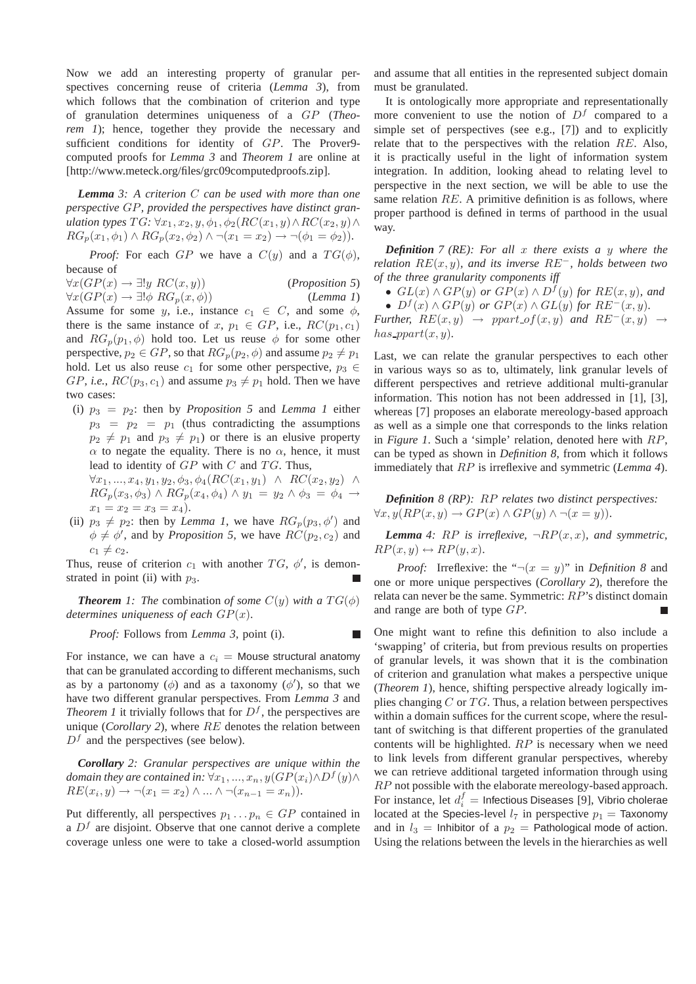Now we add an interesting property of granular perspectives concerning reuse of criteria (*Lemma 3*), from which follows that the combination of criterion and type of granulation determines uniqueness of a GP (*Theorem 1*); hence, together they provide the necessary and sufficient conditions for identity of GP. The Prover9computed proofs for *Lemma 3* and *Theorem 1* are online at [http://www.meteck.org/files/grc09computedproofs.zip].

*Lemma 3: A criterion* C *can be used with more than one perspective* GP*, provided the perspectives have distinct granulation types*  $TG: \forall x_1, x_2, y, \phi_1, \phi_2 (RC(x_1, y) \land RC(x_2, y) \land$  $RG_p(x_1, \phi_1) \wedge RG_p(x_2, \phi_2) \wedge \neg(x_1 = x_2) \rightarrow \neg(\phi_1 = \phi_2)).$ 

*Proof:* For each  $GP$  we have a  $C(y)$  and a  $TG(\phi)$ , because of

 $\forall x (GP(x) \rightarrow \exists! y \ RC(x, y))$  (*Proposition 5*)  $\forall x (GP(x) \rightarrow \exists ! \phi \ RG_p(x, \phi))$  (*Lemma 1*) Assume for some y, i.e., instance  $c_1 \in C$ , and some  $\phi$ , there is the same instance of x,  $p_1 \in GP$ , i.e.,  $RC(p_1, c_1)$ and  $RG_n(p_1, \phi)$  hold too. Let us reuse  $\phi$  for some other perspective,  $p_2 \in GP$ , so that  $RG_n(p_2, \phi)$  and assume  $p_2 \neq p_1$ hold. Let us also reuse  $c_1$  for some other perspective,  $p_3 \in$ GP, *i.e.*,  $RC(p_3, c_1)$  and assume  $p_3 \neq p_1$  hold. Then we have two cases:

(i)  $p_3 = p_2$ : then by *Proposition 5* and *Lemma 1* either  $p_3 = p_2 = p_1$  (thus contradicting the assumptions  $p_2 \neq p_1$  and  $p_3 \neq p_1$ ) or there is an elusive property  $\alpha$  to negate the equality. There is no  $\alpha$ , hence, it must lead to identity of  $GP$  with  $C$  and  $TG$ . Thus,

 $\forall x_1, ..., x_4, y_1, y_2, \phi_3, \phi_4(RC(x_1, y_1) \land RC(x_2, y_2) \land$  $RG_p(x_3, \phi_3) \wedge RG_p(x_4, \phi_4) \wedge y_1 = y_2 \wedge \phi_3 = \phi_4 \rightarrow$  $x_1 = x_2 = x_3 = x_4$ .

(ii)  $p_3 \neq p_2$ : then by *Lemma 1*, we have  $RG_p(p_3, \phi')$  and  $\phi \neq \phi'$ , and by *Proposition 5*, we have  $RC(p_2, c_2)$  and  $c_1 \neq c_2$ .

Thus, reuse of criterion  $c_1$  with another  $TG$ ,  $\phi'$ , is demonstrated in point (ii) with  $p_3$ .

*Theorem* 1: The combination of some  $C(y)$  with a  $TG(\phi)$ *determines uniqueness of each* GP(x).

*Proof:* Follows from *Lemma 3*, point (i).

For instance, we can have a  $c_i$  = Mouse structural anatomy that can be granulated according to different mechanisms, such as by a partonomy  $(\phi)$  and as a taxonomy  $(\phi')$ , so that we have two different granular perspectives. From *Lemma 3* and *Theorem 1* it trivially follows that for  $D<sup>f</sup>$ , the perspectives are unique (*Corollary 2*), where RE denotes the relation between  $D<sup>f</sup>$  and the perspectives (see below).

*Corollary 2: Granular perspectives are unique within the domain they are contained in:*  $\forall x_1,...,x_n, y (GP(x_i) \wedge D^f(y) \wedge$  $RE(x_i, y) \to \neg(x_1 = x_2) \land ... \land \neg(x_{n-1} = x_n)).$ 

Put differently, all perspectives  $p_1 \tildot p_n \in GP$  contained in a  $D<sup>f</sup>$  are disjoint. Observe that one cannot derive a complete coverage unless one were to take a closed-world assumption

and assume that all entities in the represented subject domain must be granulated.

It is ontologically more appropriate and representationally more convenient to use the notion of  $D<sup>f</sup>$  compared to a simple set of perspectives (see e.g., [7]) and to explicitly relate that to the perspectives with the relation RE. Also, it is practically useful in the light of information system integration. In addition, looking ahead to relating level to perspective in the next section, we will be able to use the same relation  $RE$ . A primitive definition is as follows, where proper parthood is defined in terms of parthood in the usual way.

*Definition 7 (RE): For all* x *there exists a* y *where the relation* RE(x, y)*, and its inverse* RE−*, holds between two of the three granularity components iff*

•  $GL(x) \wedge GP(y)$  *or*  $GP(x) \wedge D^f(y)$  *for*  $RE(x, y)$ *, and* 

•  $D^f(x) \wedge GP(y)$  or  $GP(x) \wedge GL(y)$  for  $RE^-(x, y)$ . *Further,*  $RE(x, y) \rightarrow$  *ppart\_of*(x, y) *and*  $RE^{-}(x, y) \rightarrow$  $has\_ppart(x, y)$ .

Last, we can relate the granular perspectives to each other in various ways so as to, ultimately, link granular levels of different perspectives and retrieve additional multi-granular information. This notion has not been addressed in [1], [3], whereas [7] proposes an elaborate mereology-based approach as well as a simple one that corresponds to the links relation in *Figure 1*. Such a 'simple' relation, denoted here with RP, can be typed as shown in *Definition 8*, from which it follows immediately that RP is irreflexive and symmetric (*Lemma 4*).

*Definition 8 (RP):* RP *relates two distinct perspectives:*  $\forall x, y(RP(x, y) \rightarrow GP(x) \land GP(y) \land \neg(x = y)).$ 

*Lemma* 4: RP is irreflexive,  $\neg RP(x, x)$ , and symmetric,  $RP(x, y) \leftrightarrow RP(y, x).$ 

*Proof:* Irreflexive: the " $\neg(x = y)$ " in *Definition 8* and one or more unique perspectives (*Corollary 2*), therefore the relata can never be the same. Symmetric: RP's distinct domain and range are both of type GP.

One might want to refine this definition to also include a 'swapping' of criteria, but from previous results on properties of granular levels, it was shown that it is the combination of criterion and granulation what makes a perspective unique (*Theorem 1*), hence, shifting perspective already logically implies changing  $C$  or  $TG$ . Thus, a relation between perspectives within a domain suffices for the current scope, where the resultant of switching is that different properties of the granulated contents will be highlighted. RP is necessary when we need to link levels from different granular perspectives, whereby we can retrieve additional targeted information through using RP not possible with the elaborate mereology-based approach. For instance, let  $d_i^f$  = Infectious Diseases [9], Vibrio cholerae located at the Species-level  $l_7$  in perspective  $p_1$  = Taxonomy and in  $l_3$  = Inhibitor of a  $p_2$  = Pathological mode of action. Using the relations between the levels in the hierarchies as well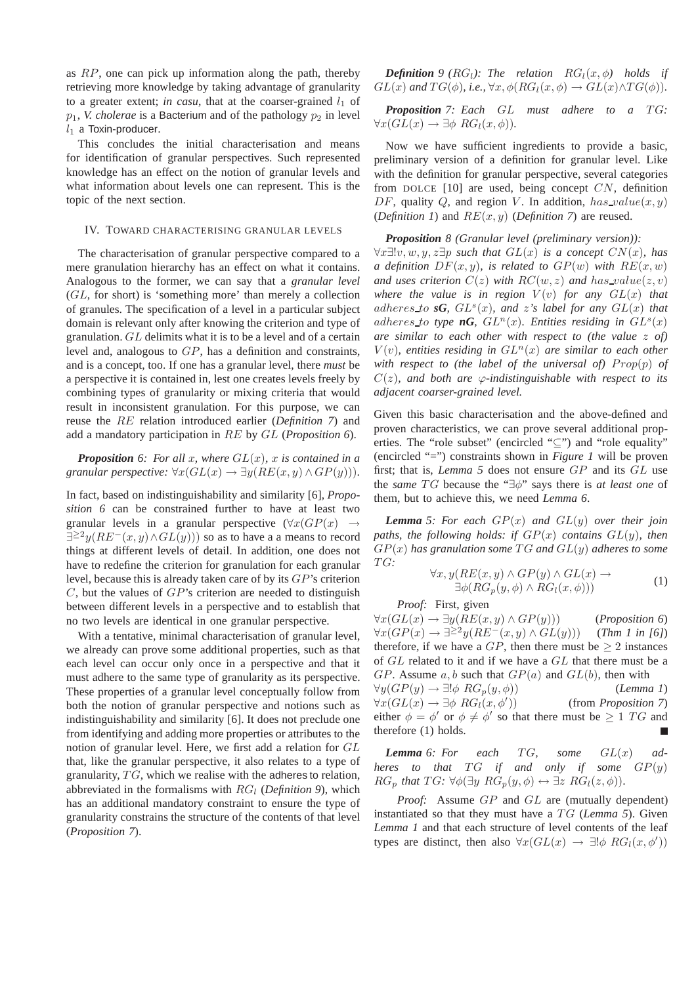as RP, one can pick up information along the path, thereby retrieving more knowledge by taking advantage of granularity to a greater extent; *in casu*, that at the coarser-grained  $l_1$  of  $p_1$ , *V. cholerae* is a Bacterium and of the pathology  $p_2$  in level  $l_1$  a Toxin-producer.

This concludes the initial characterisation and means for identification of granular perspectives. Such represented knowledge has an effect on the notion of granular levels and what information about levels one can represent. This is the topic of the next section.

## IV. TOWARD CHARACTERISING GRANULAR LEVELS

The characterisation of granular perspective compared to a mere granulation hierarchy has an effect on what it contains. Analogous to the former, we can say that a *granular level* (GL, for short) is 'something more' than merely a collection of granules. The specification of a level in a particular subject domain is relevant only after knowing the criterion and type of granulation. GL delimits what it is to be a level and of a certain level and, analogous to GP, has a definition and constraints, and is a concept, too. If one has a granular level, there *must* be a perspective it is contained in, lest one creates levels freely by combining types of granularity or mixing criteria that would result in inconsistent granulation. For this purpose, we can reuse the RE relation introduced earlier (*Definition 7*) and add a mandatory participation in RE by GL (*Proposition 6*).

*Proposition* 6: For all x, where  $GL(x)$ , x is contained in a *granular perspective:*  $\forall x (GL(x) \rightarrow \exists y (RE(x, y) \land GP(y))).$ 

In fact, based on indistinguishability and similarity [6], *Proposition 6* can be constrained further to have at least two granular levels in a granular perspective  $(\forall x(GP(x)) \rightarrow$  $\exists^{\geq 2} y(RE^{-}(x, y) \wedge GL(y)))$  so as to have a a means to record things at different levels of detail. In addition, one does not have to redefine the criterion for granulation for each granular level, because this is already taken care of by its GP's criterion  $C$ , but the values of  $GP$ 's criterion are needed to distinguish between different levels in a perspective and to establish that no two levels are identical in one granular perspective.

With a tentative, minimal characterisation of granular level, we already can prove some additional properties, such as that each level can occur only once in a perspective and that it must adhere to the same type of granularity as its perspective. These properties of a granular level conceptually follow from both the notion of granular perspective and notions such as indistinguishability and similarity [6]. It does not preclude one from identifying and adding more properties or attributes to the notion of granular level. Here, we first add a relation for GL that, like the granular perspective, it also relates to a type of granularity,  $TG$ , which we realise with the adheres to relation, abbreviated in the formalisms with  $RG<sub>l</sub>$  (*Definition 9*), which has an additional mandatory constraint to ensure the type of granularity constrains the structure of the contents of that level (*Proposition 7*).

*Definition* 9 ( $RG<sub>l</sub>$ ): The relation  $RG<sub>l</sub>(x, \phi)$  holds if  $GL(x)$  *and*  $TG(\phi)$ *, i.e.,*  $\forall x, \phi(RG_l(x, \phi) \rightarrow GL(x) \land TG(\phi))$ *.* 

*Proposition* 7: Each GL must adhere to a TG:  $\forall x(GL(x) \rightarrow \exists \phi \ RG_l(x, \phi)).$ 

Now we have sufficient ingredients to provide a basic, preliminary version of a definition for granular level. Like with the definition for granular perspective, several categories from DOLCE  $[10]$  are used, being concept  $CN$ , definition DF, quality Q, and region V. In addition,  $has\_value(x, y)$ (*Definition 1*) and  $RE(x, y)$  (*Definition 7*) are reused.

*Proposition 8 (Granular level (preliminary version)):*

∀x∃!v, w, y, z∃p *such that* GL(x) *is a concept* CN(x)*, has a definition*  $DF(x, y)$ *, is related to*  $GP(w)$  *with*  $RE(x, w)$ *and uses criterion*  $C(z)$  *with*  $RC(w, z)$  *and* has value $(z, v)$ *where the value is in region*  $V(v)$  *for any*  $GL(x)$  *that* adheres\_to  $sG$ ,  $GL<sup>s</sup>(x)$ , and  $z$ 's label for any  $GL(x)$  that adheres to type  $nG$ ,  $GL<sup>n</sup>(x)$ . Entities residing in  $GL<sup>s</sup>(x)$ *are similar to each other with respect to (the value* z *of)*  $V(v)$ , entities residing in  $GL<sup>n</sup>(x)$  are similar to each other *with respect to (the label of the universal of)*  $Prop(p)$  of  $C(z)$ *, and both are*  $\varphi$ *-indistinguishable with respect to its adjacent coarser-grained level.*

Given this basic characterisation and the above-defined and proven characteristics, we can prove several additional properties. The "role subset" (encircled "⊆") and "role equality" (encircled "=") constraints shown in *Figure 1* will be proven first; that is, *Lemma 5* does not ensure GP and its GL use the *same* TG because the "∃φ" says there is *at least one* of them, but to achieve this, we need *Lemma 6*.

*Lemma 5: For each* GP(x) *and* GL(y) *over their join paths, the following holds: if* GP(x) *contains* GL(y)*, then*  $GP(x)$  *has granulation some* TG and  $GL(y)$  adheres to some T G*:*

$$
\forall x, y (RE(x, y) \land GP(y) \land GL(x) \to
$$
  

$$
\exists \phi (RG_p(y, \phi) \land RG_l(x, \phi)))
$$
 (1)

*Proof:* First, given

 $\forall x(GL(x) \rightarrow ∃y(RE(x, y) ∧ GP(y)))$  (*Proposition 6*)  $\forall x (GP(x) \rightarrow \exists^{\geq 2} y (RE^{-}(x, y) \wedge GL(y)))$  (*Thm 1 in [6]*) therefore, if we have a  $GP$ , then there must be  $\geq 2$  instances of GL related to it and if we have a GL that there must be a GP. Assume a, b such that  $GP(a)$  and  $GL(b)$ , then with  $\forall y (GP(y) \rightarrow \exists ! \phi \ RG_p(y, \phi))$  (*Lemma 1*)  $\forall x(GL(x) \rightarrow \exists \phi \ RG_l(x, \phi'))$ )) (from *Proposition 7*) either  $\phi = \phi'$  or  $\phi \neq \phi'$  so that there must be  $\geq 1$  TG and therefore (1) holds.

*Lemma* 6: For each  $TG$ , some  $GL(x)$  ad*heres to that*  $TG$  *if and only if some*  $GP(y)$  $RG_p$  *that*  $TG$ *:*  $\forall \phi(\exists y \ RG_p(y, \phi) \leftrightarrow \exists z \ RG_l(z, \phi)).$ 

*Proof:* Assume GP and GL are (mutually dependent) instantiated so that they must have a  $TG$  (*Lemma 5*). Given *Lemma 1* and that each structure of level contents of the leaf types are distinct, then also  $\forall x (GL(x) \rightarrow \exists ! \phi \ RG_l(x, \phi'))$